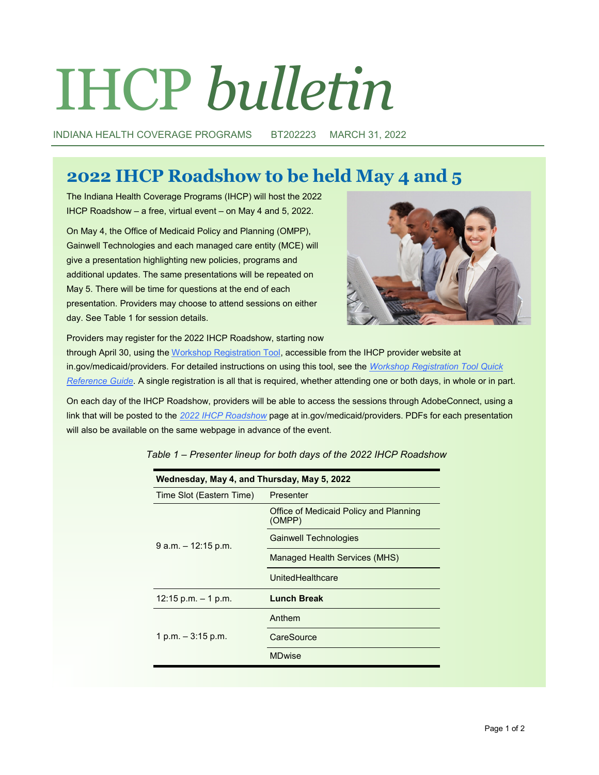# IHCP *bulletin*

INDIANA HEALTH COVERAGE PROGRAMS BT202223 MARCH 31, 2022

## **2022 IHCP Roadshow to be held May 4 and 5**

The Indiana Health Coverage Programs (IHCP) will host the 2022 IHCP Roadshow – a free, virtual event – on May 4 and 5, 2022.

On May 4, the Office of Medicaid Policy and Planning (OMPP), Gainwell Technologies and each managed care entity (MCE) will give a presentation highlighting new policies, programs and additional updates. The same presentations will be repeated on May 5. There will be time for questions at the end of each presentation. Providers may choose to attend sessions on either day. See Table 1 for session details.



Providers may register for the 2022 IHCP Roadshow, starting now

through April 30, using the [Workshop Registration Tool,](http://provider.indianamedicaid.com/ihcp/workshop/index.aspx) accessible from the IHCP provider website at in.gov/medicaid/providers. For detailed instructions on using this tool, see the *[Workshop Registration Tool Quick](http://provider.indianamedicaid.com/ihcp/workshop/pdf/TR636-WorkshopRegistrationQuickReference.pdf)  [Reference Guide](http://provider.indianamedicaid.com/ihcp/workshop/pdf/TR636-WorkshopRegistrationQuickReference.pdf)*. A single registration is all that is required, whether attending one or both days, in whole or in part.

On each day of the IHCP Roadshow, providers will be able to access the sessions through AdobeConnect, using a link that will be posted to the *[2022 IHCP Roadshow](https://www.in.gov/medicaid/providers/provider-education/ihcp-roadshow/)* page at in.gov/medicaid/providers. PDFs for each presentation will also be available on the same webpage in advance of the event.

| Wednesday, May 4, and Thursday, May 5, 2022 |                                                  |
|---------------------------------------------|--------------------------------------------------|
| Time Slot (Eastern Time)                    | Presenter                                        |
| $9$ a.m. $-12:15$ p.m.                      | Office of Medicaid Policy and Planning<br>(OMPP) |
|                                             | Gainwell Technologies                            |
|                                             | Managed Health Services (MHS)                    |
|                                             | UnitedHealthcare                                 |
| $12:15$ p.m. $-1$ p.m.                      | <b>Lunch Break</b>                               |
| 1 p.m. $-3:15$ p.m.                         | Anthem                                           |
|                                             | CareSource                                       |
|                                             | <b>MDwise</b>                                    |

*Table 1 – Presenter lineup for both days of the 2022 IHCP Roadshow*